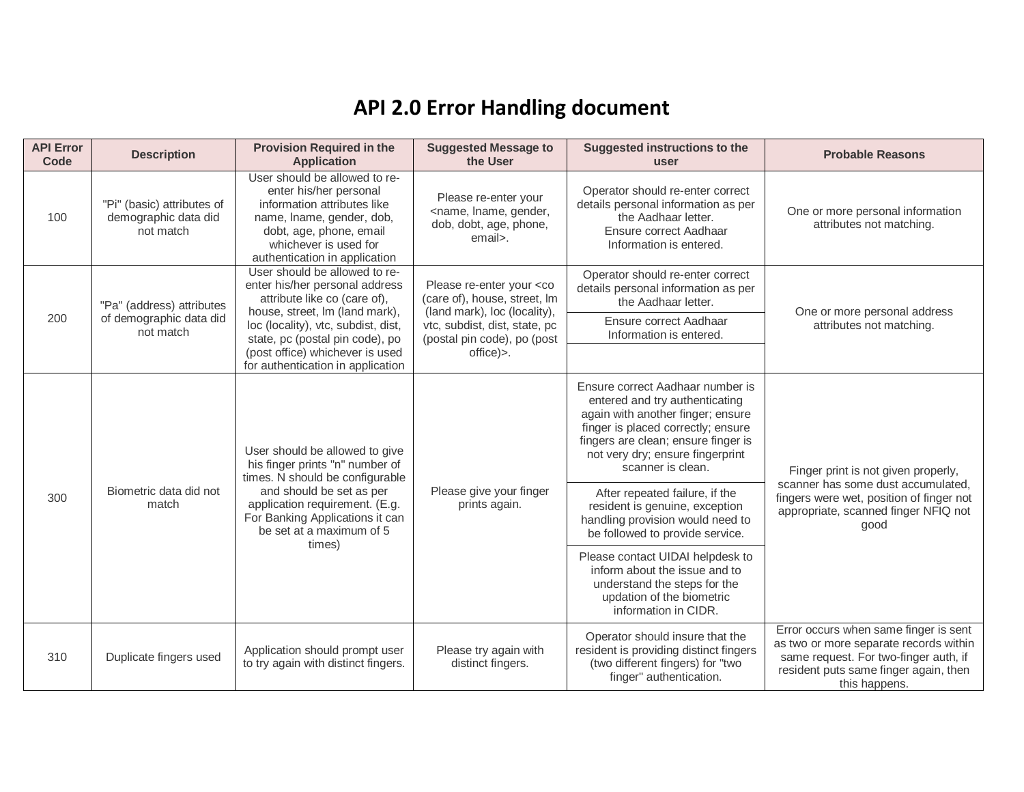## **API 2.0 Error Handling document**

| <b>API Error</b><br>Code | <b>Description</b>                                              | <b>Provision Required in the</b><br><b>Application</b>                                                                                                                                                                                      | <b>Suggested Message to</b><br>the User                                                              | <b>Suggested instructions to the</b><br>user                                                                                                                                                                                                  | <b>Probable Reasons</b>                                                                                                                                                            |
|--------------------------|-----------------------------------------------------------------|---------------------------------------------------------------------------------------------------------------------------------------------------------------------------------------------------------------------------------------------|------------------------------------------------------------------------------------------------------|-----------------------------------------------------------------------------------------------------------------------------------------------------------------------------------------------------------------------------------------------|------------------------------------------------------------------------------------------------------------------------------------------------------------------------------------|
| 100                      | "Pi" (basic) attributes of<br>demographic data did<br>not match | User should be allowed to re-<br>enter his/her personal<br>information attributes like<br>name, Iname, gender, dob,<br>dobt, age, phone, email<br>whichever is used for<br>authentication in application                                    | Please re-enter your<br><name, gender,<br="" lname,="">dob, dobt, age, phone,<br/>email&gt;.</name,> | Operator should re-enter correct<br>details personal information as per<br>the Aadhaar letter.<br>Ensure correct Aadhaar<br>Information is entered.                                                                                           | One or more personal information<br>attributes not matching.                                                                                                                       |
|                          | "Pa" (address) attributes                                       | User should be allowed to re-<br>enter his/her personal address<br>attribute like co (care of),<br>house, street, Im (land mark),                                                                                                           | Please re-enter your <co<br>(care of), house, street, Im<br/>(land mark), loc (locality),</co<br>    | Operator should re-enter correct<br>details personal information as per<br>the Aadhaar letter.                                                                                                                                                | One or more personal address                                                                                                                                                       |
| 200                      | of demographic data did<br>not match                            | loc (locality), vtc, subdist, dist,<br>state, pc (postal pin code), po                                                                                                                                                                      | vtc, subdist, dist, state, pc<br>(postal pin code), po (post                                         | Ensure correct Aadhaar<br>Information is entered.                                                                                                                                                                                             | attributes not matching.                                                                                                                                                           |
|                          |                                                                 | (post office) whichever is used<br>for authentication in application                                                                                                                                                                        | office)>.                                                                                            |                                                                                                                                                                                                                                               |                                                                                                                                                                                    |
|                          | Biometric data did not<br>match                                 | User should be allowed to give<br>his finger prints "n" number of<br>times. N should be configurable<br>and should be set as per<br>application requirement. (E.g.<br>For Banking Applications it can<br>be set at a maximum of 5<br>times) | Please give your finger<br>prints again.                                                             | Ensure correct Aadhaar number is<br>entered and try authenticating<br>again with another finger; ensure<br>finger is placed correctly; ensure<br>fingers are clean; ensure finger is<br>not very dry; ensure fingerprint<br>scanner is clean. | Finger print is not given properly,<br>scanner has some dust accumulated,<br>fingers were wet, position of finger not<br>appropriate, scanned finger NFIQ not<br>good              |
| 300                      |                                                                 |                                                                                                                                                                                                                                             |                                                                                                      | After repeated failure, if the<br>resident is genuine, exception<br>handling provision would need to<br>be followed to provide service.                                                                                                       |                                                                                                                                                                                    |
|                          |                                                                 |                                                                                                                                                                                                                                             |                                                                                                      | Please contact UIDAI helpdesk to<br>inform about the issue and to<br>understand the steps for the<br>updation of the biometric<br>information in CIDR.                                                                                        |                                                                                                                                                                                    |
| 310                      | Duplicate fingers used                                          | Application should prompt user<br>to try again with distinct fingers.                                                                                                                                                                       | Please try again with<br>distinct fingers.                                                           | Operator should insure that the<br>resident is providing distinct fingers<br>(two different fingers) for "two<br>finger" authentication.                                                                                                      | Error occurs when same finger is sent<br>as two or more separate records within<br>same request. For two-finger auth, if<br>resident puts same finger again, then<br>this happens. |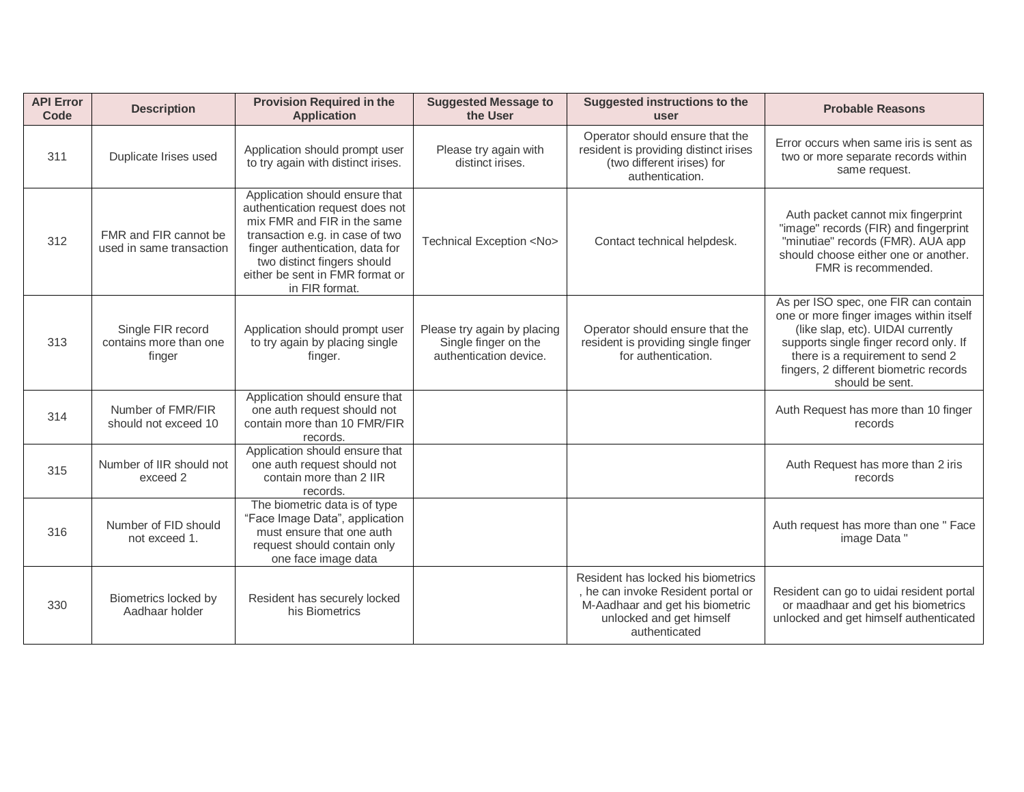| <b>API Error</b><br>Code | <b>Description</b>                                    | <b>Provision Required in the</b><br><b>Application</b>                                                                                                                                                                                                     | <b>Suggested Message to</b><br>the User                                       | <b>Suggested instructions to the</b><br>user                                                                                                             | <b>Probable Reasons</b>                                                                                                                                                                                                                                         |
|--------------------------|-------------------------------------------------------|------------------------------------------------------------------------------------------------------------------------------------------------------------------------------------------------------------------------------------------------------------|-------------------------------------------------------------------------------|----------------------------------------------------------------------------------------------------------------------------------------------------------|-----------------------------------------------------------------------------------------------------------------------------------------------------------------------------------------------------------------------------------------------------------------|
| 311                      | Duplicate Irises used                                 | Application should prompt user<br>to try again with distinct irises.                                                                                                                                                                                       | Please try again with<br>distinct irises.                                     | Operator should ensure that the<br>resident is providing distinct irises<br>(two different irises) for<br>authentication.                                | Error occurs when same iris is sent as<br>two or more separate records within<br>same request.                                                                                                                                                                  |
| 312                      | FMR and FIR cannot be<br>used in same transaction     | Application should ensure that<br>authentication request does not<br>mix FMR and FIR in the same<br>transaction e.g. in case of two<br>finger authentication, data for<br>two distinct fingers should<br>either be sent in FMR format or<br>in FIR format. | Technical Exception <no></no>                                                 | Contact technical helpdesk.                                                                                                                              | Auth packet cannot mix fingerprint<br>"image" records (FIR) and fingerprint<br>"minutiae" records (FMR). AUA app<br>should choose either one or another.<br>FMR is recommended.                                                                                 |
| 313                      | Single FIR record<br>contains more than one<br>finger | Application should prompt user<br>to try again by placing single<br>finger.                                                                                                                                                                                | Please try again by placing<br>Single finger on the<br>authentication device. | Operator should ensure that the<br>resident is providing single finger<br>for authentication.                                                            | As per ISO spec, one FIR can contain<br>one or more finger images within itself<br>(like slap, etc). UIDAI currently<br>supports single finger record only. If<br>there is a requirement to send 2<br>fingers, 2 different biometric records<br>should be sent. |
| 314                      | Number of FMR/FIR<br>should not exceed 10             | Application should ensure that<br>one auth request should not<br>contain more than 10 FMR/FIR<br>records.                                                                                                                                                  |                                                                               |                                                                                                                                                          | Auth Request has more than 10 finger<br>records                                                                                                                                                                                                                 |
| 315                      | Number of IIR should not<br>exceed 2                  | Application should ensure that<br>one auth request should not<br>contain more than 2 IIR<br>records.                                                                                                                                                       |                                                                               |                                                                                                                                                          | Auth Request has more than 2 iris<br>records                                                                                                                                                                                                                    |
| 316                      | Number of FID should<br>not exceed 1.                 | The biometric data is of type<br>"Face Image Data", application<br>must ensure that one auth<br>request should contain only<br>one face image data                                                                                                         |                                                                               |                                                                                                                                                          | Auth request has more than one " Face<br>image Data"                                                                                                                                                                                                            |
| 330                      | Biometrics locked by<br>Aadhaar holder                | Resident has securely locked<br>his Biometrics                                                                                                                                                                                                             |                                                                               | Resident has locked his biometrics<br>, he can invoke Resident portal or<br>M-Aadhaar and get his biometric<br>unlocked and get himself<br>authenticated | Resident can go to uidai resident portal<br>or maadhaar and get his biometrics<br>unlocked and get himself authenticated                                                                                                                                        |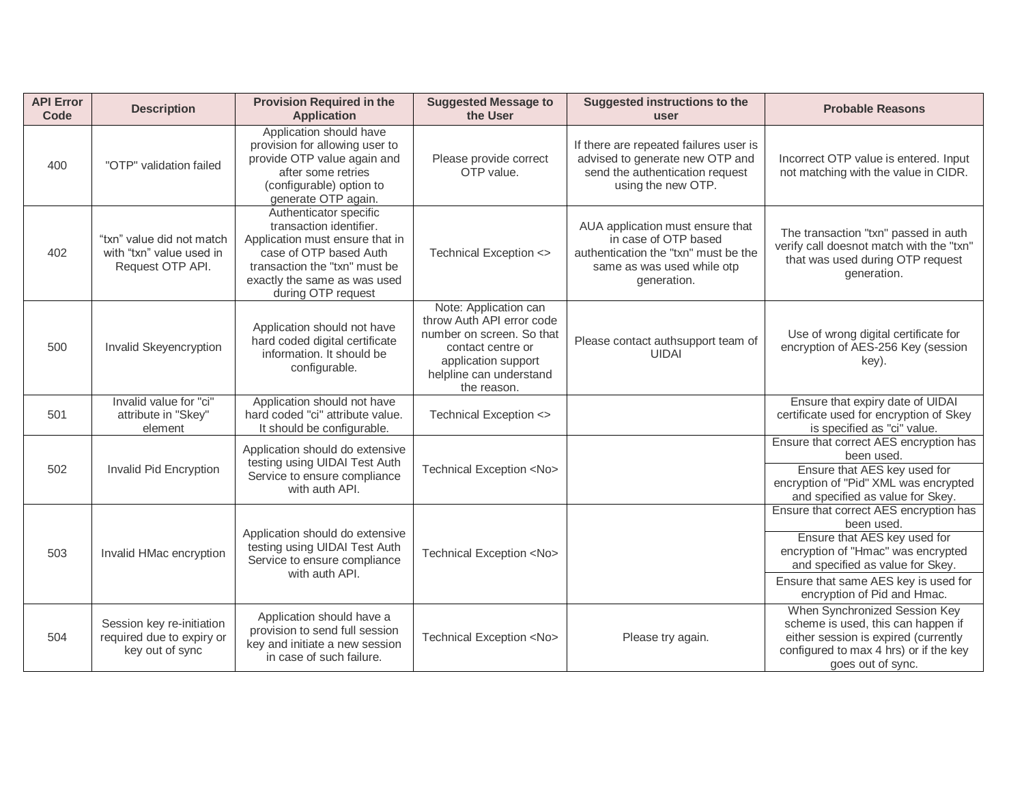| <b>API Error</b><br>Code | <b>Description</b>                                                        | <b>Provision Required in the</b><br><b>Application</b>                                                                                                                                                | <b>Suggested Message to</b><br>the User                                                                                                                               | <b>Suggested instructions to the</b><br><b>user</b>                                                                                           | <b>Probable Reasons</b>                                                                                                                                                                                                               |
|--------------------------|---------------------------------------------------------------------------|-------------------------------------------------------------------------------------------------------------------------------------------------------------------------------------------------------|-----------------------------------------------------------------------------------------------------------------------------------------------------------------------|-----------------------------------------------------------------------------------------------------------------------------------------------|---------------------------------------------------------------------------------------------------------------------------------------------------------------------------------------------------------------------------------------|
| 400                      | "OTP" validation failed                                                   | Application should have<br>provision for allowing user to<br>provide OTP value again and<br>after some retries<br>(configurable) option to<br>generate OTP again.                                     | Please provide correct<br>OTP value.                                                                                                                                  | If there are repeated failures user is<br>advised to generate new OTP and<br>send the authentication request<br>using the new OTP.            | Incorrect OTP value is entered. Input<br>not matching with the value in CIDR.                                                                                                                                                         |
| 402                      | "txn" value did not match<br>with "txn" value used in<br>Request OTP API. | Authenticator specific<br>transaction identifier.<br>Application must ensure that in<br>case of OTP based Auth<br>transaction the "txn" must be<br>exactly the same as was used<br>during OTP request | Technical Exception <>                                                                                                                                                | AUA application must ensure that<br>in case of OTP based<br>authentication the "txn" must be the<br>same as was used while otp<br>generation. | The transaction "txn" passed in auth<br>verify call doesnot match with the "txn"<br>that was used during OTP request<br>generation.                                                                                                   |
| 500                      | Invalid Skeyencryption                                                    | Application should not have<br>hard coded digital certificate<br>information. It should be<br>configurable.                                                                                           | Note: Application can<br>throw Auth API error code<br>number on screen. So that<br>contact centre or<br>application support<br>helpline can understand<br>the reason. | Please contact authsupport team of<br><b>UIDAI</b>                                                                                            | Use of wrong digital certificate for<br>encryption of AES-256 Key (session<br>key).                                                                                                                                                   |
| 501                      | Invalid value for "ci"<br>attribute in "Skey"<br>element                  | Application should not have<br>hard coded "ci" attribute value.<br>It should be configurable.                                                                                                         | Technical Exception <>                                                                                                                                                |                                                                                                                                               | Ensure that expiry date of UIDAI<br>certificate used for encryption of Skey<br>is specified as "ci" value.                                                                                                                            |
| 502                      | Invalid Pid Encryption                                                    | Application should do extensive<br>testing using UIDAI Test Auth<br>Service to ensure compliance<br>with auth API.                                                                                    | Technical Exception <no></no>                                                                                                                                         |                                                                                                                                               | Ensure that correct AES encryption has<br>been used.<br>Ensure that AES key used for<br>encryption of "Pid" XML was encrypted<br>and specified as value for Skey.                                                                     |
| 503                      | Invalid HMac encryption                                                   | Application should do extensive<br>testing using UIDAI Test Auth<br>Service to ensure compliance<br>with auth API.                                                                                    | Technical Exception <no></no>                                                                                                                                         |                                                                                                                                               | Ensure that correct AES encryption has<br>been used.<br>Ensure that AES key used for<br>encryption of "Hmac" was encrypted<br>and specified as value for Skey.<br>Ensure that same AES key is used for<br>encryption of Pid and Hmac. |
| 504                      | Session key re-initiation<br>required due to expiry or<br>key out of sync | Application should have a<br>provision to send full session<br>key and initiate a new session<br>in case of such failure.                                                                             | Technical Exception <no></no>                                                                                                                                         | Please try again.                                                                                                                             | When Synchronized Session Key<br>scheme is used, this can happen if<br>either session is expired (currently<br>configured to max 4 hrs) or if the key<br>goes out of sync.                                                            |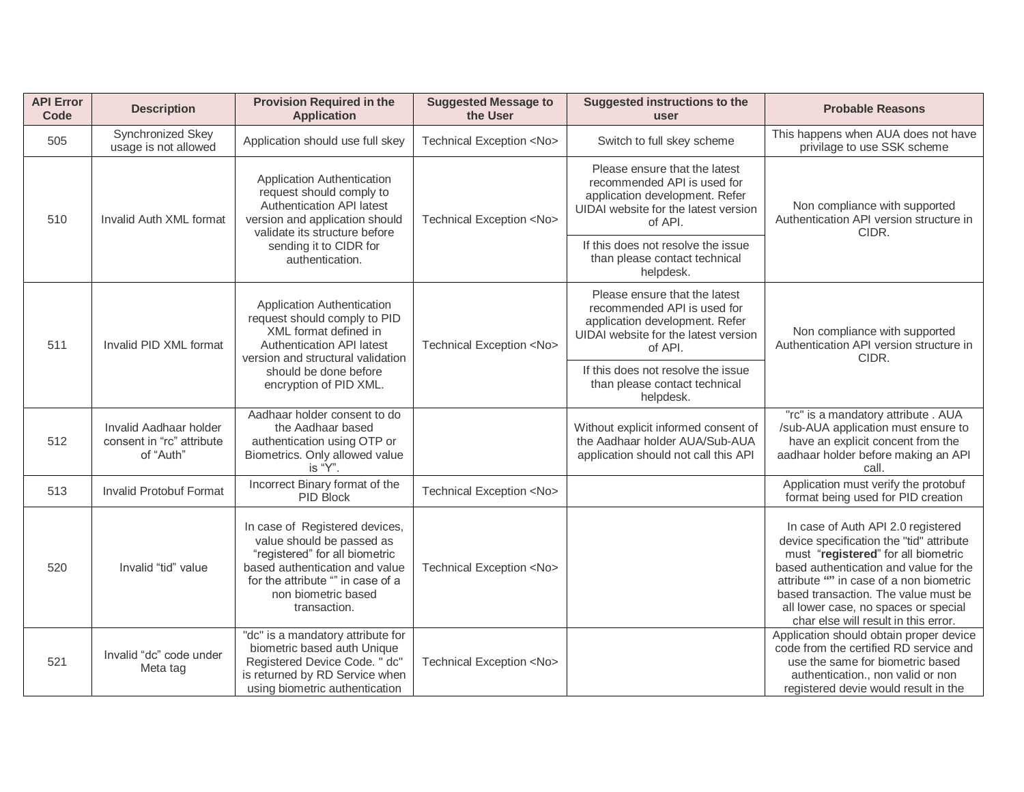| <b>API Error</b><br>Code | <b>Description</b>                                               | <b>Provision Required in the</b><br><b>Application</b>                                                                                                                                                                                                                                                                                                                                                                                                                               | <b>Suggested Message to</b><br>the User | <b>Suggested instructions to the</b><br>user                                                                                                      | <b>Probable Reasons</b>                                                                                                                                                                                                                                                                                                            |
|--------------------------|------------------------------------------------------------------|--------------------------------------------------------------------------------------------------------------------------------------------------------------------------------------------------------------------------------------------------------------------------------------------------------------------------------------------------------------------------------------------------------------------------------------------------------------------------------------|-----------------------------------------|---------------------------------------------------------------------------------------------------------------------------------------------------|------------------------------------------------------------------------------------------------------------------------------------------------------------------------------------------------------------------------------------------------------------------------------------------------------------------------------------|
| 505                      | Synchronized Skey<br>usage is not allowed                        | Application should use full skey                                                                                                                                                                                                                                                                                                                                                                                                                                                     | Technical Exception <no></no>           | Switch to full skey scheme                                                                                                                        | This happens when AUA does not have<br>privilage to use SSK scheme                                                                                                                                                                                                                                                                 |
| 510                      | Invalid Auth XML format                                          | Please ensure that the latest<br>Application Authentication<br>recommended API is used for<br>request should comply to<br>application development. Refer<br>Authentication API latest<br>UIDAI website for the latest version<br>version and application should<br>Technical Exception <no><br/>of API.<br/>validate its structure before<br/>If this does not resolve the issue<br/>sending it to CIDR for<br/>than please contact technical<br/>authentication.<br/>helpdesk.</no> |                                         |                                                                                                                                                   | Non compliance with supported<br>Authentication API version structure in<br>CIDR.                                                                                                                                                                                                                                                  |
|                          |                                                                  |                                                                                                                                                                                                                                                                                                                                                                                                                                                                                      |                                         |                                                                                                                                                   |                                                                                                                                                                                                                                                                                                                                    |
| 511                      | Invalid PID XML format                                           | Application Authentication<br>request should comply to PID<br>XML format defined in<br><b>Authentication API latest</b><br>version and structural validation                                                                                                                                                                                                                                                                                                                         | Technical Exception <no></no>           | Please ensure that the latest<br>recommended API is used for<br>application development. Refer<br>UIDAI website for the latest version<br>of API. | Non compliance with supported<br>Authentication API version structure in<br>CIDR.                                                                                                                                                                                                                                                  |
|                          |                                                                  | should be done before<br>encryption of PID XML.                                                                                                                                                                                                                                                                                                                                                                                                                                      |                                         | If this does not resolve the issue<br>than please contact technical<br>helpdesk.                                                                  |                                                                                                                                                                                                                                                                                                                                    |
| 512                      | Invalid Aadhaar holder<br>consent in "rc" attribute<br>of "Auth" | Aadhaar holder consent to do<br>the Aadhaar based<br>authentication using OTP or<br>Biometrics. Only allowed value<br>is "Y".                                                                                                                                                                                                                                                                                                                                                        |                                         | Without explicit informed consent of<br>the Aadhaar holder AUA/Sub-AUA<br>application should not call this API                                    | "rc" is a mandatory attribute . AUA<br>/sub-AUA application must ensure to<br>have an explicit concent from the<br>aadhaar holder before making an API<br>call.                                                                                                                                                                    |
| 513                      | <b>Invalid Protobuf Format</b>                                   | Incorrect Binary format of the<br><b>PID Block</b>                                                                                                                                                                                                                                                                                                                                                                                                                                   | Technical Exception <no></no>           |                                                                                                                                                   | Application must verify the protobuf<br>format being used for PID creation                                                                                                                                                                                                                                                         |
| 520                      | Invalid "tid" value                                              | In case of Registered devices,<br>value should be passed as<br>"registered" for all biometric<br>based authentication and value<br>for the attribute "" in case of a<br>non biometric based<br>transaction.                                                                                                                                                                                                                                                                          | Technical Exception <no></no>           |                                                                                                                                                   | In case of Auth API 2.0 registered<br>device specification the "tid" attribute<br>must "registered" for all biometric<br>based authentication and value for the<br>attribute "" in case of a non biometric<br>based transaction. The value must be<br>all lower case, no spaces or special<br>char else will result in this error. |
| 521                      | Invalid "dc" code under<br>Meta tag                              | "dc" is a mandatory attribute for<br>biometric based auth Unique<br>Registered Device Code. " dc"<br>is returned by RD Service when<br>using biometric authentication                                                                                                                                                                                                                                                                                                                | Technical Exception <no></no>           |                                                                                                                                                   | Application should obtain proper device<br>code from the certified RD service and<br>use the same for biometric based<br>authentication., non valid or non<br>registered devie would result in the                                                                                                                                 |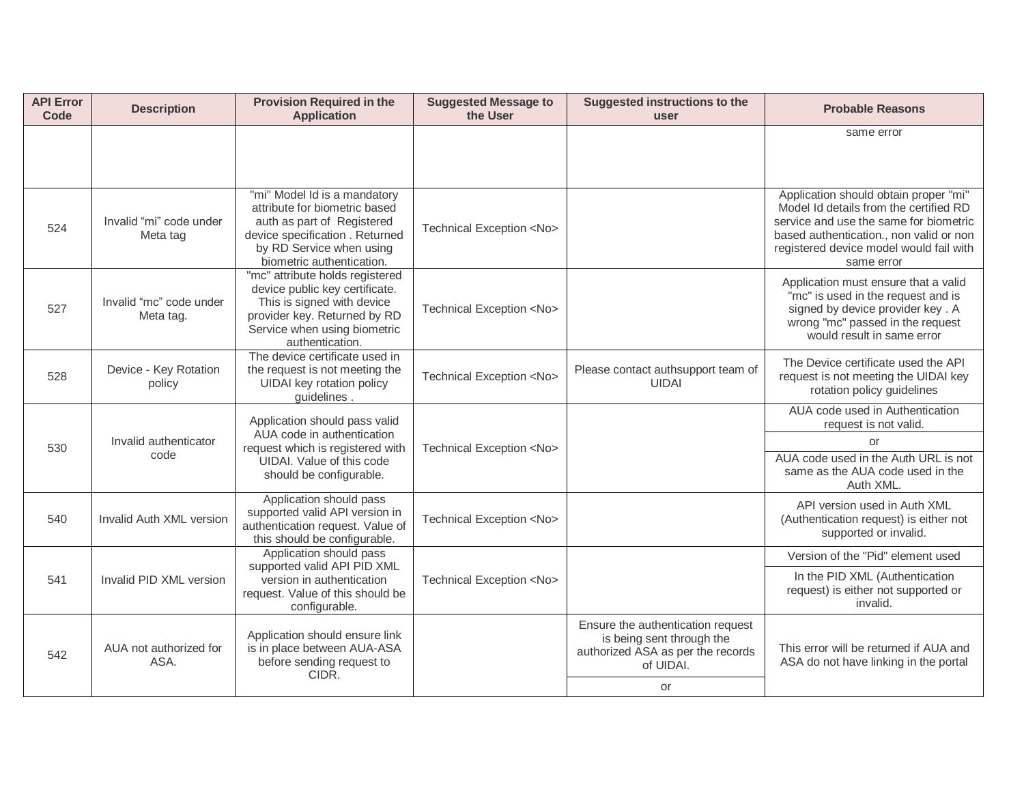| <b>API Error</b><br><b>Code</b> | <b>Description</b>                                                                                                                                                                       | <b>Provision Required in the</b><br><b>Application</b>                                                                                                                                  | <b>Suggested Message to</b><br>the User | <b>Suggested instructions to the</b><br>user                                                                     | <b>Probable Reasons</b>                                                                                                                                                                                                       |
|---------------------------------|------------------------------------------------------------------------------------------------------------------------------------------------------------------------------------------|-----------------------------------------------------------------------------------------------------------------------------------------------------------------------------------------|-----------------------------------------|------------------------------------------------------------------------------------------------------------------|-------------------------------------------------------------------------------------------------------------------------------------------------------------------------------------------------------------------------------|
|                                 |                                                                                                                                                                                          |                                                                                                                                                                                         |                                         |                                                                                                                  | same error                                                                                                                                                                                                                    |
| 524                             | Invalid "mi" code under<br>Meta tag                                                                                                                                                      | "mi" Model Id is a mandatory<br>attribute for biometric based<br>auth as part of Registered<br>device specification . Returned<br>by RD Service when using<br>biometric authentication. | Technical Exception <no></no>           |                                                                                                                  | Application should obtain proper "mi"<br>Model Id details from the certified RD<br>service and use the same for biometric<br>based authentication., non valid or non<br>registered device model would fail with<br>same error |
| 527                             | Invalid "mc" code under<br>Meta tag.                                                                                                                                                     | "mc" attribute holds registered<br>device public key certificate.<br>This is signed with device<br>provider key. Returned by RD<br>Service when using biometric<br>authentication.      | Technical Exception <no></no>           |                                                                                                                  | Application must ensure that a valid<br>"mc" is used in the request and is<br>signed by device provider key. A<br>wrong "mc" passed in the request<br>would result in same error                                              |
| 528                             | Device - Key Rotation<br>policy                                                                                                                                                          | The device certificate used in<br>the request is not meeting the<br>UIDAI key rotation policy<br>guidelines.                                                                            | Technical Exception <no></no>           | Please contact authsupport team of<br><b>UIDAI</b>                                                               | The Device certificate used the API<br>request is not meeting the UIDAI key<br>rotation policy guidelines                                                                                                                     |
|                                 | Application should pass valid<br>AUA code in authentication<br>Invalid authenticator<br>request which is registered with<br>code<br>UIDAI. Value of this code<br>should be configurable. |                                                                                                                                                                                         |                                         |                                                                                                                  | AUA code used in Authentication<br>request is not valid.                                                                                                                                                                      |
| 530                             |                                                                                                                                                                                          | Technical Exception <no></no>                                                                                                                                                           |                                         | or<br>AUA code used in the Auth URL is not<br>same as the AUA code used in the<br>Auth XML.                      |                                                                                                                                                                                                                               |
| 540                             | Invalid Auth XML version                                                                                                                                                                 | Application should pass<br>supported valid API version in<br>authentication request. Value of<br>this should be configurable.                                                           | Technical Exception <no></no>           |                                                                                                                  | API version used in Auth XML<br>(Authentication request) is either not<br>supported or invalid.                                                                                                                               |
|                                 |                                                                                                                                                                                          | Application should pass<br>supported valid API PID XML                                                                                                                                  |                                         |                                                                                                                  | Version of the "Pid" element used                                                                                                                                                                                             |
| 541                             | Invalid PID XML version                                                                                                                                                                  | version in authentication<br>request. Value of this should be<br>configurable.                                                                                                          | Technical Exception <no></no>           |                                                                                                                  | In the PID XML (Authentication<br>request) is either not supported or<br>invalid.                                                                                                                                             |
| 542                             | AUA not authorized for<br>ASA.                                                                                                                                                           | Application should ensure link<br>is in place between AUA-ASA<br>before sending request to<br>CIDR.                                                                                     |                                         | Ensure the authentication request<br>is being sent through the<br>authorized ASA as per the records<br>of UIDAI. | This error will be returned if AUA and<br>ASA do not have linking in the portal                                                                                                                                               |
|                                 |                                                                                                                                                                                          |                                                                                                                                                                                         |                                         | or                                                                                                               |                                                                                                                                                                                                                               |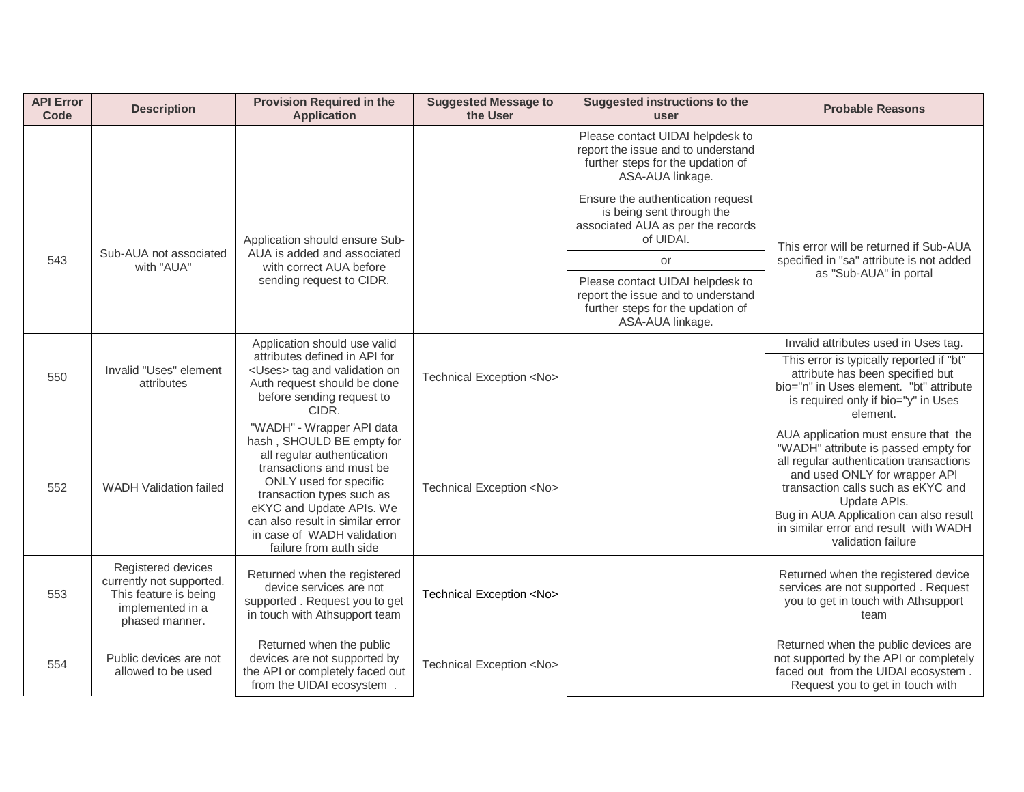| <b>API Error</b><br>Code | <b>Description</b>                                                                                            | <b>Provision Required in the</b><br><b>Application</b>                                                                                                                                                                                                                                          | <b>Suggested Message to</b><br>the User                                                                                         | <b>Suggested instructions to the</b><br><b>USer</b>                                                                             | <b>Probable Reasons</b>                                                                                                                                                                                                                                                                                                 |
|--------------------------|---------------------------------------------------------------------------------------------------------------|-------------------------------------------------------------------------------------------------------------------------------------------------------------------------------------------------------------------------------------------------------------------------------------------------|---------------------------------------------------------------------------------------------------------------------------------|---------------------------------------------------------------------------------------------------------------------------------|-------------------------------------------------------------------------------------------------------------------------------------------------------------------------------------------------------------------------------------------------------------------------------------------------------------------------|
|                          |                                                                                                               |                                                                                                                                                                                                                                                                                                 |                                                                                                                                 | Please contact UIDAI helpdesk to<br>report the issue and to understand<br>further steps for the updation of<br>ASA-AUA linkage. |                                                                                                                                                                                                                                                                                                                         |
|                          |                                                                                                               | Application should ensure Sub-                                                                                                                                                                                                                                                                  |                                                                                                                                 | Ensure the authentication request<br>is being sent through the<br>associated AUA as per the records<br>of UIDAI.                | This error will be returned if Sub-AUA                                                                                                                                                                                                                                                                                  |
| 543                      | Sub-AUA not associated<br>with "AUA"                                                                          | AUA is added and associated<br>with correct AUA before                                                                                                                                                                                                                                          |                                                                                                                                 | or                                                                                                                              | specified in "sa" attribute is not added                                                                                                                                                                                                                                                                                |
|                          | sending request to CIDR.<br>Application should use valid<br>attributes defined in API for                     |                                                                                                                                                                                                                                                                                                 | Please contact UIDAI helpdesk to<br>report the issue and to understand<br>further steps for the updation of<br>ASA-AUA linkage. | as "Sub-AUA" in portal                                                                                                          |                                                                                                                                                                                                                                                                                                                         |
|                          |                                                                                                               |                                                                                                                                                                                                                                                                                                 |                                                                                                                                 |                                                                                                                                 | Invalid attributes used in Uses tag.                                                                                                                                                                                                                                                                                    |
| 550                      | Invalid "Uses" element<br>attributes                                                                          | <uses> tag and validation on<br/>Auth request should be done<br/>before sending request to<br/>CIDR.</uses>                                                                                                                                                                                     | Technical Exception <no></no>                                                                                                   |                                                                                                                                 | This error is typically reported if "bt"<br>attribute has been specified but<br>bio="n" in Uses element. "bt" attribute<br>is required only if bio="y" in Uses<br>element.                                                                                                                                              |
| 552                      | WADH Validation failed                                                                                        | "WADH" - Wrapper API data<br>hash, SHOULD BE empty for<br>all regular authentication<br>transactions and must be<br>ONLY used for specific<br>transaction types such as<br>eKYC and Update APIs. We<br>can also result in similar error<br>in case of WADH validation<br>failure from auth side | Technical Exception <no></no>                                                                                                   |                                                                                                                                 | AUA application must ensure that the<br>"WADH" attribute is passed empty for<br>all regular authentication transactions<br>and used ONLY for wrapper API<br>transaction calls such as eKYC and<br>Update APIs.<br>Bug in AUA Application can also result<br>in similar error and result with WADH<br>validation failure |
| 553                      | Registered devices<br>currently not supported.<br>This feature is being<br>implemented in a<br>phased manner. | Returned when the registered<br>device services are not<br>supported. Request you to get<br>in touch with Athsupport team                                                                                                                                                                       | Technical Exception <no></no>                                                                                                   |                                                                                                                                 | Returned when the registered device<br>services are not supported. Request<br>you to get in touch with Athsupport<br>team                                                                                                                                                                                               |
| 554                      | Public devices are not<br>allowed to be used                                                                  | Returned when the public<br>devices are not supported by<br>the API or completely faced out<br>from the UIDAI ecosystem.                                                                                                                                                                        | Technical Exception <no></no>                                                                                                   |                                                                                                                                 | Returned when the public devices are<br>not supported by the API or completely<br>faced out from the UIDAI ecosystem.<br>Request you to get in touch with                                                                                                                                                               |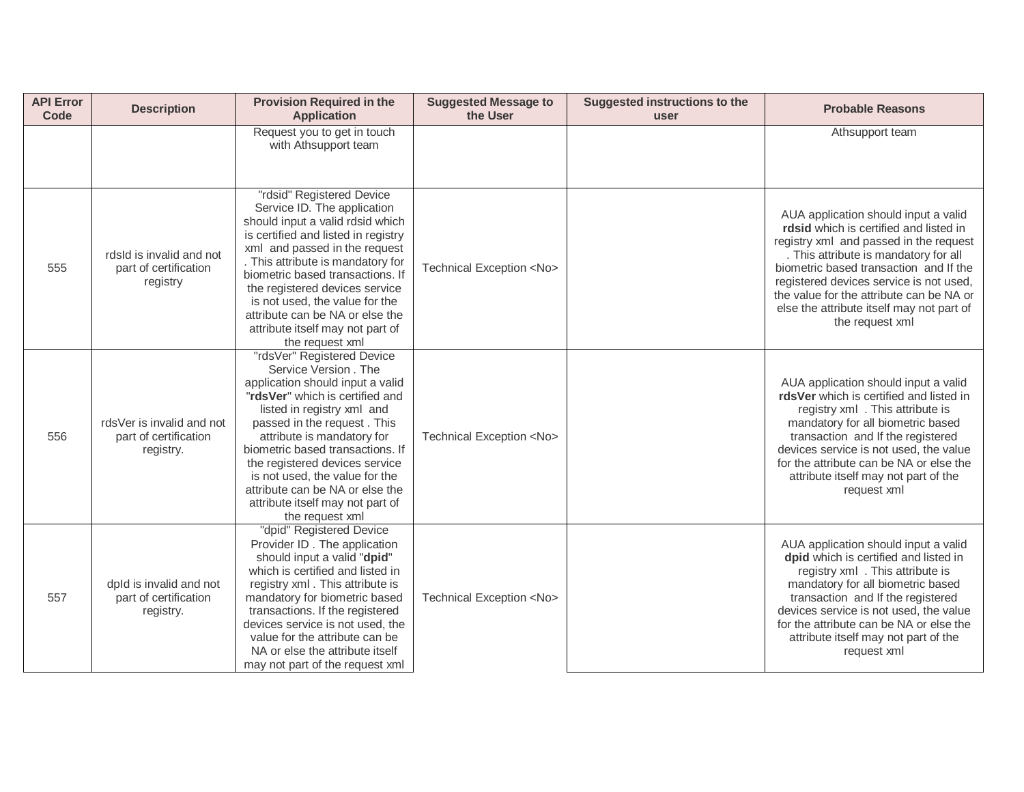| <b>API Error</b><br>Code | <b>Description</b>                                               | <b>Provision Required in the</b><br><b>Application</b>                                                                                                                                                                                                                                                                                                                                                                 | <b>Suggested Message to</b><br>the User | Suggested instructions to the<br>user | <b>Probable Reasons</b>                                                                                                                                                                                                                                                                                                                                            |
|--------------------------|------------------------------------------------------------------|------------------------------------------------------------------------------------------------------------------------------------------------------------------------------------------------------------------------------------------------------------------------------------------------------------------------------------------------------------------------------------------------------------------------|-----------------------------------------|---------------------------------------|--------------------------------------------------------------------------------------------------------------------------------------------------------------------------------------------------------------------------------------------------------------------------------------------------------------------------------------------------------------------|
|                          |                                                                  | Request you to get in touch<br>with Athsupport team                                                                                                                                                                                                                                                                                                                                                                    |                                         |                                       | Athsupport team                                                                                                                                                                                                                                                                                                                                                    |
| 555                      | rdsld is invalid and not<br>part of certification<br>registry    | "rdsid" Registered Device<br>Service ID. The application<br>should input a valid rdsid which<br>is certified and listed in registry<br>xml and passed in the request<br>. This attribute is mandatory for<br>biometric based transactions. If<br>the registered devices service<br>is not used, the value for the<br>attribute can be NA or else the<br>attribute itself may not part of<br>the request xml            | Technical Exception <no></no>           |                                       | AUA application should input a valid<br>rdsid which is certified and listed in<br>registry xml and passed in the request<br>. This attribute is mandatory for all<br>biometric based transaction and If the<br>registered devices service is not used,<br>the value for the attribute can be NA or<br>else the attribute itself may not part of<br>the request xml |
| 556                      | rds Ver is invalid and not<br>part of certification<br>registry. | "rdsVer" Registered Device<br>Service Version, The<br>application should input a valid<br>"rdsVer" which is certified and<br>listed in registry xml and<br>passed in the request. This<br>attribute is mandatory for<br>biometric based transactions. If<br>the registered devices service<br>is not used, the value for the<br>attribute can be NA or else the<br>attribute itself may not part of<br>the request xml | Technical Exception <no></no>           |                                       | AUA application should input a valid<br>rdsVer which is certified and listed in<br>registry xml . This attribute is<br>mandatory for all biometric based<br>transaction and If the registered<br>devices service is not used, the value<br>for the attribute can be NA or else the<br>attribute itself may not part of the<br>request xml                          |
| 557                      | dpld is invalid and not<br>part of certification<br>registry.    | "dpid" Registered Device<br>Provider ID. The application<br>should input a valid "dpid"<br>which is certified and listed in<br>registry xml. This attribute is<br>mandatory for biometric based<br>transactions. If the registered<br>devices service is not used, the<br>value for the attribute can be<br>NA or else the attribute itself<br>may not part of the request xml                                         | Technical Exception <no></no>           |                                       | AUA application should input a valid<br>dpid which is certified and listed in<br>registry xml . This attribute is<br>mandatory for all biometric based<br>transaction and If the registered<br>devices service is not used, the value<br>for the attribute can be NA or else the<br>attribute itself may not part of the<br>request xml                            |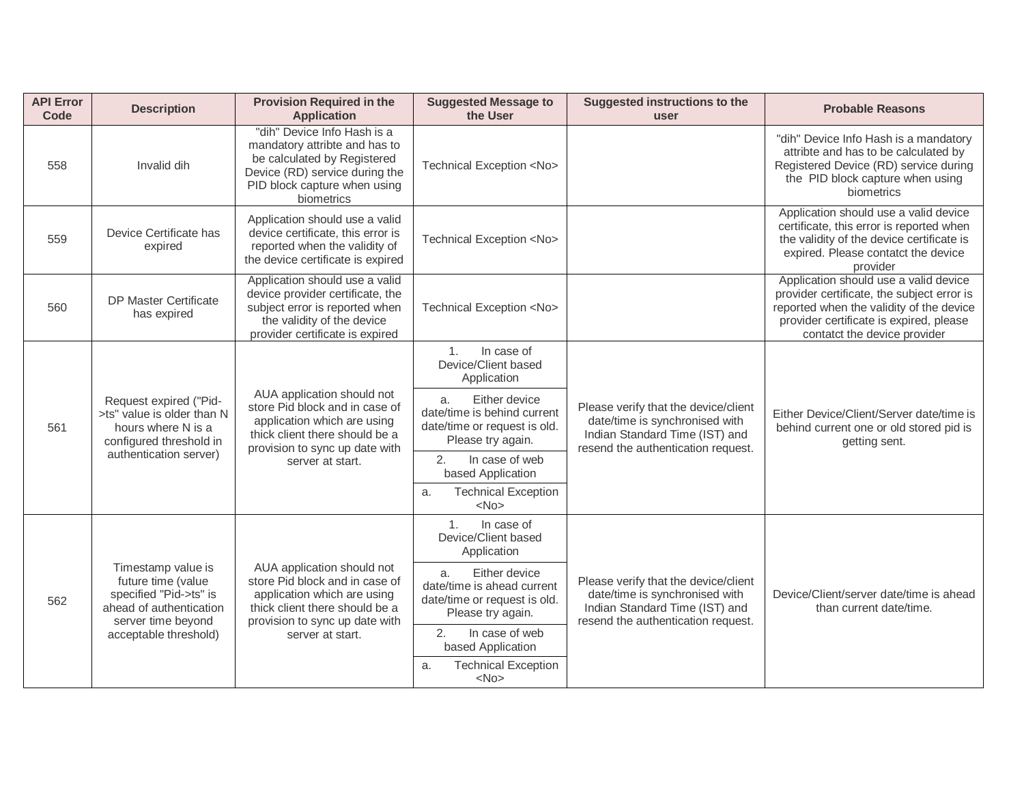| <b>API Error</b><br><b>Code</b> | <b>Description</b>                                                                                                  | <b>Provision Required in the</b><br><b>Application</b>                                                                                                                              | <b>Suggested Message to</b><br>the User                                                                 | <b>Suggested instructions to the</b><br>user                                                                                                   | <b>Probable Reasons</b>                                                                                                                                                                                    |
|---------------------------------|---------------------------------------------------------------------------------------------------------------------|-------------------------------------------------------------------------------------------------------------------------------------------------------------------------------------|---------------------------------------------------------------------------------------------------------|------------------------------------------------------------------------------------------------------------------------------------------------|------------------------------------------------------------------------------------------------------------------------------------------------------------------------------------------------------------|
| 558                             | Invalid dih                                                                                                         | "dih" Device Info Hash is a<br>mandatory attribte and has to<br>be calculated by Registered<br>Device (RD) service during the<br>PID block capture when using<br>biometrics         | Technical Exception <no></no>                                                                           |                                                                                                                                                | "dih" Device Info Hash is a mandatory<br>attribte and has to be calculated by<br>Registered Device (RD) service during<br>the PID block capture when using<br>biometrics                                   |
| 559                             | Device Certificate has<br>expired                                                                                   | Application should use a valid<br>device certificate, this error is<br>reported when the validity of<br>the device certificate is expired                                           | Technical Exception <no></no>                                                                           |                                                                                                                                                | Application should use a valid device<br>certificate, this error is reported when<br>the validity of the device certificate is<br>expired. Please contatct the device<br>provider                          |
| 560                             | <b>DP Master Certificate</b><br>has expired                                                                         | Application should use a valid<br>device provider certificate, the<br>subject error is reported when<br>the validity of the device<br>provider certificate is expired               | Technical Exception <no></no>                                                                           |                                                                                                                                                | Application should use a valid device<br>provider certificate, the subject error is<br>reported when the validity of the device<br>provider certificate is expired, please<br>contatct the device provider |
|                                 | Request expired ("Pid-<br>>ts" value is older than N<br>hours where N is a<br>configured threshold in               | AUA application should not<br>store Pid block and in case of<br>application which are using<br>thick client there should be a<br>provision to sync up date with<br>server at start. | In case of<br>1 <sub>1</sub><br>Device/Client based<br>Application                                      | Please verify that the device/client<br>date/time is synchronised with<br>Indian Standard Time (IST) and<br>resend the authentication request. | Either Device/Client/Server date/time is<br>behind current one or old stored pid is<br>getting sent.                                                                                                       |
| 561                             |                                                                                                                     |                                                                                                                                                                                     | Either device<br>a.<br>date/time is behind current<br>date/time or request is old.<br>Please try again. |                                                                                                                                                |                                                                                                                                                                                                            |
|                                 | authentication server)                                                                                              |                                                                                                                                                                                     | 2.<br>In case of web<br>based Application<br><b>Technical Exception</b>                                 |                                                                                                                                                |                                                                                                                                                                                                            |
|                                 |                                                                                                                     |                                                                                                                                                                                     | a.<br>$<$ No $>$                                                                                        |                                                                                                                                                |                                                                                                                                                                                                            |
|                                 |                                                                                                                     |                                                                                                                                                                                     | 1 <sub>1</sub><br>In case of<br>Device/Client based<br>Application                                      | Please verify that the device/client<br>date/time is synchronised with<br>Indian Standard Time (IST) and<br>resend the authentication request. | Device/Client/server date/time is ahead<br>than current date/time.                                                                                                                                         |
| 562                             | Timestamp value is<br>future time (value<br>specified "Pid->ts" is<br>ahead of authentication<br>server time beyond | AUA application should not<br>store Pid block and in case of<br>application which are using<br>thick client there should be a<br>provision to sync up date with                     | Either device<br>a.<br>date/time is ahead current<br>date/time or request is old.<br>Please try again.  |                                                                                                                                                |                                                                                                                                                                                                            |
|                                 | acceptable threshold)                                                                                               | server at start.                                                                                                                                                                    | 2.<br>In case of web<br>based Application                                                               |                                                                                                                                                |                                                                                                                                                                                                            |
|                                 |                                                                                                                     |                                                                                                                                                                                     | <b>Technical Exception</b><br>a.<br>$<$ No $>$                                                          |                                                                                                                                                |                                                                                                                                                                                                            |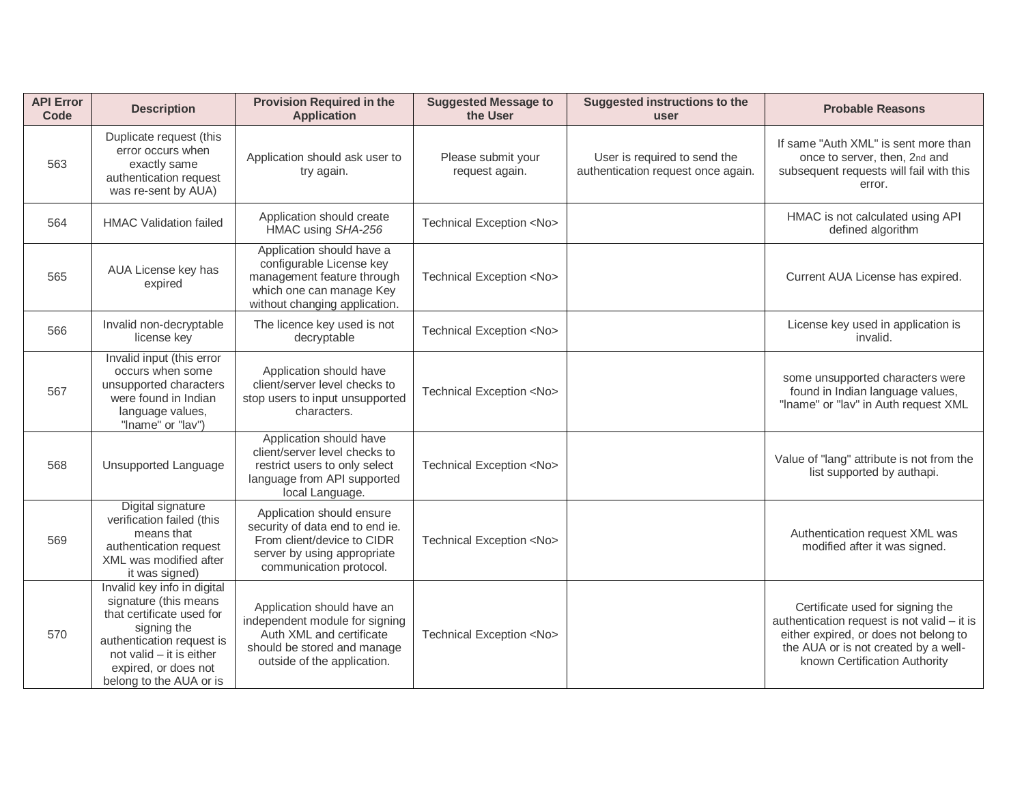| <b>API Error</b><br><b>Code</b> | <b>Description</b>                                                                                                                                                                                           | <b>Provision Required in the</b><br><b>Application</b>                                                                                                 | <b>Suggested Message to</b><br>the User | <b>Suggested instructions to the</b><br>user                       | <b>Probable Reasons</b>                                                                                                                                                                           |
|---------------------------------|--------------------------------------------------------------------------------------------------------------------------------------------------------------------------------------------------------------|--------------------------------------------------------------------------------------------------------------------------------------------------------|-----------------------------------------|--------------------------------------------------------------------|---------------------------------------------------------------------------------------------------------------------------------------------------------------------------------------------------|
| 563                             | Duplicate request (this<br>error occurs when<br>exactly same<br>authentication request<br>was re-sent by AUA)                                                                                                | Application should ask user to<br>try again.                                                                                                           | Please submit your<br>request again.    | User is required to send the<br>authentication request once again. | If same "Auth XML" is sent more than<br>once to server, then, 2nd and<br>subsequent requests will fail with this<br>error.                                                                        |
| 564                             | <b>HMAC Validation failed</b>                                                                                                                                                                                | Application should create<br>HMAC using SHA-256                                                                                                        | Technical Exception <no></no>           |                                                                    | HMAC is not calculated using API<br>defined algorithm                                                                                                                                             |
| 565                             | AUA License key has<br>expired                                                                                                                                                                               | Application should have a<br>configurable License key<br>management feature through<br>which one can manage Key<br>without changing application.       | Technical Exception <no></no>           |                                                                    | Current AUA License has expired.                                                                                                                                                                  |
| 566                             | Invalid non-decryptable<br>license key                                                                                                                                                                       | The licence key used is not<br>decryptable                                                                                                             | Technical Exception <no></no>           |                                                                    | License key used in application is<br>invalid.                                                                                                                                                    |
| 567                             | Invalid input (this error<br>occurs when some<br>unsupported characters<br>were found in Indian<br>language values,<br>"Iname" or "lav")                                                                     | Application should have<br>client/server level checks to<br>stop users to input unsupported<br>characters.                                             | Technical Exception <no></no>           |                                                                    | some unsupported characters were<br>found in Indian language values,<br>"Iname" or "lav" in Auth request XML                                                                                      |
| 568                             | <b>Unsupported Language</b>                                                                                                                                                                                  | Application should have<br>client/server level checks to<br>restrict users to only select<br>language from API supported<br>local Language.            | Technical Exception <no></no>           |                                                                    | Value of "lang" attribute is not from the<br>list supported by authapi.                                                                                                                           |
| 569                             | Digital signature<br>verification failed (this<br>means that<br>authentication request<br>XML was modified after<br>it was signed)                                                                           | Application should ensure<br>security of data end to end ie.<br>From client/device to CIDR<br>server by using appropriate<br>communication protocol.   | Technical Exception <no></no>           |                                                                    | Authentication request XML was<br>modified after it was signed.                                                                                                                                   |
| 570                             | Invalid key info in digital<br>signature (this means<br>that certificate used for<br>signing the<br>authentication request is<br>not valid - it is either<br>expired, or does not<br>belong to the AUA or is | Application should have an<br>independent module for signing<br>Auth XML and certificate<br>should be stored and manage<br>outside of the application. | Technical Exception <no></no>           |                                                                    | Certificate used for signing the<br>authentication request is not valid - it is<br>either expired, or does not belong to<br>the AUA or is not created by a well-<br>known Certification Authority |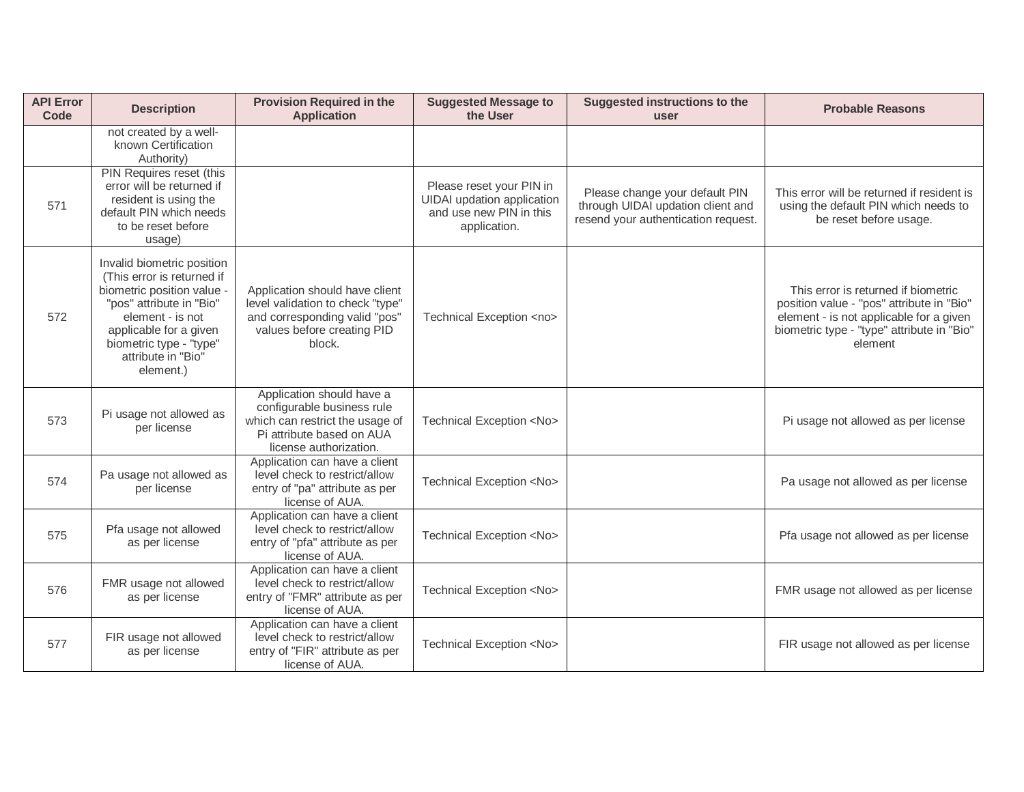| <b>API Error</b><br>Code | <b>Description</b>                                                                                                                                                                                                           | <b>Provision Required in the</b><br><b>Application</b>                                                                                            | <b>Suggested Message to</b><br>the User                                                                  | Suggested instructions to the<br>user                                                                      | <b>Probable Reasons</b>                                                                                                                                                              |
|--------------------------|------------------------------------------------------------------------------------------------------------------------------------------------------------------------------------------------------------------------------|---------------------------------------------------------------------------------------------------------------------------------------------------|----------------------------------------------------------------------------------------------------------|------------------------------------------------------------------------------------------------------------|--------------------------------------------------------------------------------------------------------------------------------------------------------------------------------------|
|                          | not created by a well-<br>known Certification<br>Authority)                                                                                                                                                                  |                                                                                                                                                   |                                                                                                          |                                                                                                            |                                                                                                                                                                                      |
| 571                      | PIN Requires reset (this<br>error will be returned if<br>resident is using the<br>default PIN which needs<br>to be reset before<br>usage)                                                                                    |                                                                                                                                                   | Please reset your PIN in<br><b>UIDAI</b> updation application<br>and use new PIN in this<br>application. | Please change your default PIN<br>through UIDAI updation client and<br>resend your authentication request. | This error will be returned if resident is<br>using the default PIN which needs to<br>be reset before usage.                                                                         |
| 572                      | Invalid biometric position<br>(This error is returned if<br>biometric position value<br>"pos" attribute in "Bio"<br>element - is not<br>applicable for a given<br>biometric type - "type"<br>attribute in "Bio"<br>element.) | Application should have client<br>level validation to check "type"<br>and corresponding valid "pos"<br>values before creating PID<br>block.       | Technical Exception <no></no>                                                                            |                                                                                                            | This error is returned if biometric<br>position value - "pos" attribute in "Bio"<br>element - is not applicable for a given<br>biometric type - "type" attribute in "Bio"<br>element |
| 573                      | Pi usage not allowed as<br>per license                                                                                                                                                                                       | Application should have a<br>configurable business rule<br>which can restrict the usage of<br>Pi attribute based on AUA<br>license authorization. | Technical Exception <no></no>                                                                            |                                                                                                            | Pi usage not allowed as per license                                                                                                                                                  |
| 574                      | Pa usage not allowed as<br>per license                                                                                                                                                                                       | Application can have a client<br>level check to restrict/allow<br>entry of "pa" attribute as per<br>license of AUA.                               | Technical Exception <no></no>                                                                            |                                                                                                            | Pa usage not allowed as per license                                                                                                                                                  |
| 575                      | Pfa usage not allowed<br>as per license                                                                                                                                                                                      | Application can have a client<br>level check to restrict/allow<br>entry of "pfa" attribute as per<br>license of AUA.                              | Technical Exception <no></no>                                                                            |                                                                                                            | Pfa usage not allowed as per license                                                                                                                                                 |
| 576                      | FMR usage not allowed<br>as per license                                                                                                                                                                                      | Application can have a client<br>level check to restrict/allow<br>entry of "FMR" attribute as per<br>license of AUA.                              | Technical Exception <no></no>                                                                            |                                                                                                            | FMR usage not allowed as per license                                                                                                                                                 |
| 577                      | FIR usage not allowed<br>as per license                                                                                                                                                                                      | Application can have a client<br>level check to restrict/allow<br>entry of "FIR" attribute as per<br>license of AUA.                              | Technical Exception <no></no>                                                                            |                                                                                                            | FIR usage not allowed as per license                                                                                                                                                 |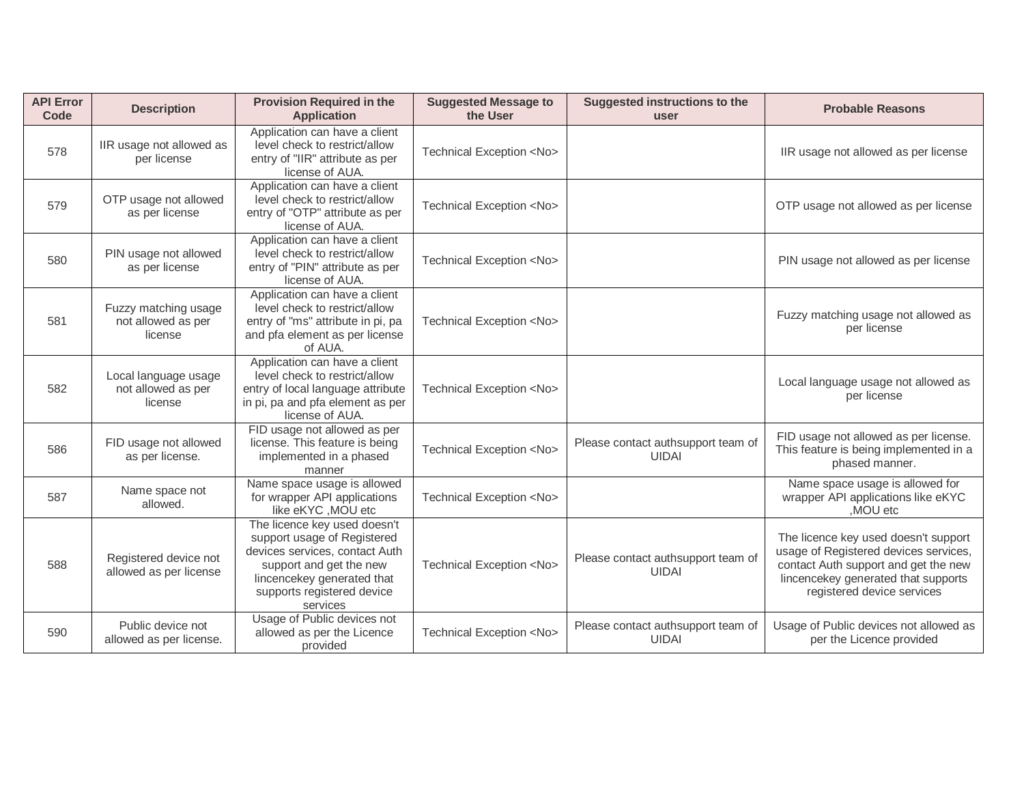| <b>API Error</b><br>Code | <b>Description</b>                                    | <b>Provision Required in the</b><br><b>Application</b>                                                                                                                                           | <b>Suggested Message to</b><br>the User | Suggested instructions to the<br>user              | <b>Probable Reasons</b>                                                                                                                                                                    |
|--------------------------|-------------------------------------------------------|--------------------------------------------------------------------------------------------------------------------------------------------------------------------------------------------------|-----------------------------------------|----------------------------------------------------|--------------------------------------------------------------------------------------------------------------------------------------------------------------------------------------------|
| 578                      | IIR usage not allowed as<br>per license               | Application can have a client<br>level check to restrict/allow<br>entry of "IIR" attribute as per<br>license of AUA.                                                                             | Technical Exception <no></no>           |                                                    | IIR usage not allowed as per license                                                                                                                                                       |
| 579                      | OTP usage not allowed<br>as per license               | Application can have a client<br>level check to restrict/allow<br>entry of "OTP" attribute as per<br>license of AUA.                                                                             | Technical Exception <no></no>           |                                                    | OTP usage not allowed as per license                                                                                                                                                       |
| 580                      | PIN usage not allowed<br>as per license               | Application can have a client<br>level check to restrict/allow<br>entry of "PIN" attribute as per<br>license of AUA.                                                                             | Technical Exception <no></no>           |                                                    | PIN usage not allowed as per license                                                                                                                                                       |
| 581                      | Fuzzy matching usage<br>not allowed as per<br>license | Application can have a client<br>level check to restrict/allow<br>entry of "ms" attribute in pi, pa<br>and pfa element as per license<br>of AUA.                                                 | Technical Exception <no></no>           |                                                    | Fuzzy matching usage not allowed as<br>per license                                                                                                                                         |
| 582                      | Local language usage<br>not allowed as per<br>license | Application can have a client<br>level check to restrict/allow<br>entry of local language attribute<br>in pi, pa and pfa element as per<br>license of AUA.                                       | Technical Exception <no></no>           |                                                    | Local language usage not allowed as<br>per license                                                                                                                                         |
| 586                      | FID usage not allowed<br>as per license.              | FID usage not allowed as per<br>license. This feature is being<br>implemented in a phased<br>manner                                                                                              | Technical Exception <no></no>           | Please contact authsupport team of<br><b>UIDAI</b> | FID usage not allowed as per license.<br>This feature is being implemented in a<br>phased manner.                                                                                          |
| 587                      | Name space not<br>allowed.                            | Name space usage is allowed<br>for wrapper API applications<br>like eKYC, MOU etc                                                                                                                | Technical Exception <no></no>           |                                                    | Name space usage is allowed for<br>wrapper API applications like eKYC<br>.MOU etc                                                                                                          |
| 588                      | Registered device not<br>allowed as per license       | The licence key used doesn't<br>support usage of Registered<br>devices services, contact Auth<br>support and get the new<br>lincencekey generated that<br>supports registered device<br>services | Technical Exception <no></no>           | Please contact authsupport team of<br><b>UIDAI</b> | The licence key used doesn't support<br>usage of Registered devices services,<br>contact Auth support and get the new<br>lincencekey generated that supports<br>registered device services |
| 590                      | Public device not<br>allowed as per license.          | Usage of Public devices not<br>allowed as per the Licence<br>provided                                                                                                                            | Technical Exception <no></no>           | Please contact authsupport team of<br><b>UIDAI</b> | Usage of Public devices not allowed as<br>per the Licence provided                                                                                                                         |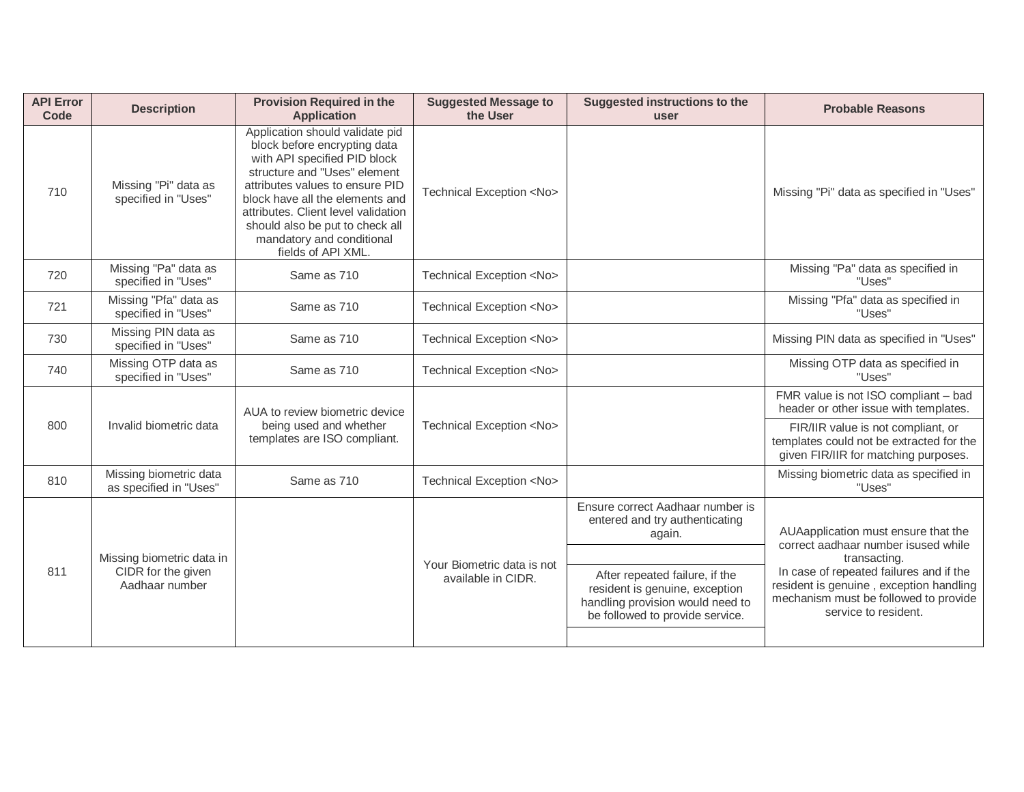| <b>API Error</b><br>Code | <b>Description</b>                                                | <b>Provision Required in the</b><br><b>Application</b>                                                                                                                                                                                                                                                                             | <b>Suggested Message to</b><br>the User          | <b>Suggested instructions to the</b><br>user                                                                                            | <b>Probable Reasons</b>                                                                                                                                             |
|--------------------------|-------------------------------------------------------------------|------------------------------------------------------------------------------------------------------------------------------------------------------------------------------------------------------------------------------------------------------------------------------------------------------------------------------------|--------------------------------------------------|-----------------------------------------------------------------------------------------------------------------------------------------|---------------------------------------------------------------------------------------------------------------------------------------------------------------------|
| 710                      | Missing "Pi" data as<br>specified in "Uses"                       | Application should validate pid<br>block before encrypting data<br>with API specified PID block<br>structure and "Uses" element<br>attributes values to ensure PID<br>block have all the elements and<br>attributes. Client level validation<br>should also be put to check all<br>mandatory and conditional<br>fields of API XML. | Technical Exception <no></no>                    |                                                                                                                                         | Missing "Pi" data as specified in "Uses"                                                                                                                            |
| 720                      | Missing "Pa" data as<br>specified in "Uses"                       | Same as 710                                                                                                                                                                                                                                                                                                                        | Technical Exception <no></no>                    |                                                                                                                                         | Missing "Pa" data as specified in<br>"Uses"                                                                                                                         |
| 721                      | Missing "Pfa" data as<br>specified in "Uses"                      | Same as 710                                                                                                                                                                                                                                                                                                                        | Technical Exception <no></no>                    |                                                                                                                                         | Missing "Pfa" data as specified in<br>"Uses"                                                                                                                        |
| 730                      | Missing PIN data as<br>specified in "Uses"                        | Same as 710                                                                                                                                                                                                                                                                                                                        | Technical Exception <no></no>                    |                                                                                                                                         | Missing PIN data as specified in "Uses"                                                                                                                             |
| 740                      | Missing OTP data as<br>specified in "Uses"                        | Same as 710                                                                                                                                                                                                                                                                                                                        | Technical Exception <no></no>                    |                                                                                                                                         | Missing OTP data as specified in<br>"Uses"                                                                                                                          |
| 800                      | Invalid biometric data                                            | AUA to review biometric device<br>being used and whether<br>templates are ISO compliant.                                                                                                                                                                                                                                           | Technical Exception <no></no>                    |                                                                                                                                         | FMR value is not ISO compliant - bad<br>header or other issue with templates.<br>FIR/IIR value is not compliant, or<br>templates could not be extracted for the     |
|                          | Missing biometric data                                            |                                                                                                                                                                                                                                                                                                                                    |                                                  |                                                                                                                                         | given FIR/IIR for matching purposes.<br>Missing biometric data as specified in                                                                                      |
| 810                      | as specified in "Uses"                                            | Same as 710                                                                                                                                                                                                                                                                                                                        | Technical Exception <no></no>                    |                                                                                                                                         | "Uses"                                                                                                                                                              |
|                          |                                                                   |                                                                                                                                                                                                                                                                                                                                    |                                                  | Ensure correct Aadhaar number is<br>entered and try authenticating<br>again.                                                            | AUAapplication must ensure that the<br>correct aadhaar number isused while                                                                                          |
| 811                      | Missing biometric data in<br>CIDR for the given<br>Aadhaar number |                                                                                                                                                                                                                                                                                                                                    | Your Biometric data is not<br>available in CIDR. | After repeated failure, if the<br>resident is genuine, exception<br>handling provision would need to<br>be followed to provide service. | transacting.<br>In case of repeated failures and if the<br>resident is genuine, exception handling<br>mechanism must be followed to provide<br>service to resident. |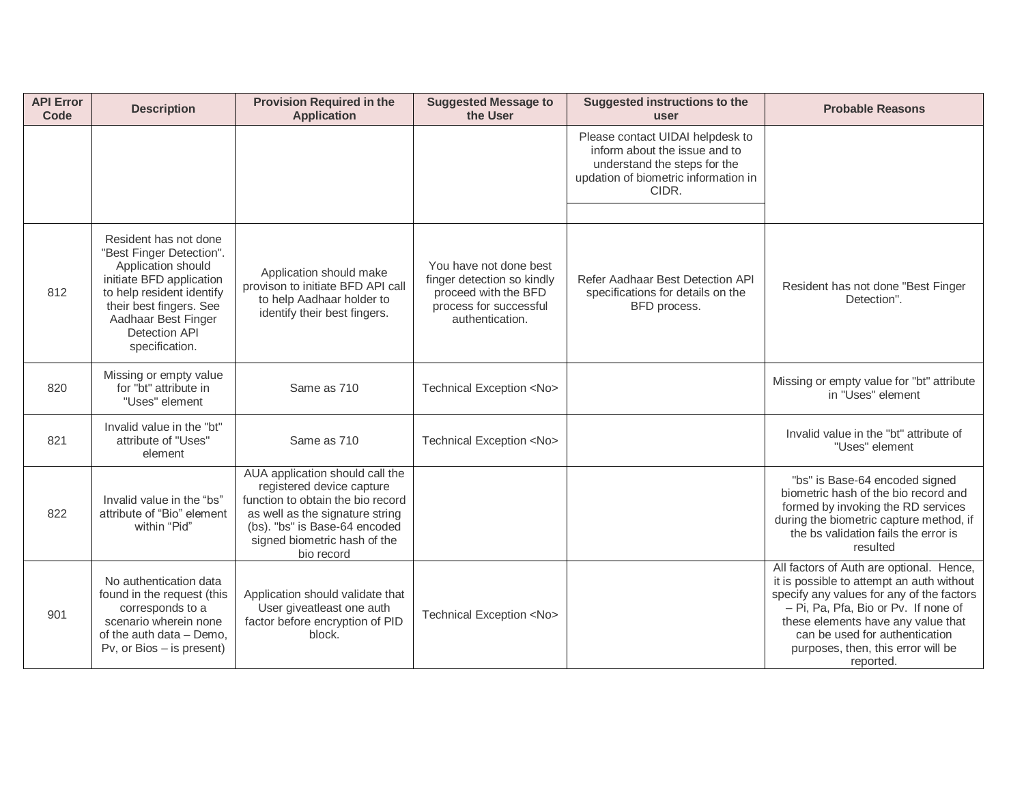| <b>API Error</b><br>Code | <b>Description</b>                                                                                                                                                                                                           | <b>Provision Required in the</b><br><b>Application</b>                                                                                                                                                              | <b>Suggested Message to</b><br>the User                                                                                   | <b>Suggested instructions to the</b><br>user                                                                                                       | <b>Probable Reasons</b>                                                                                                                                                                                                                                                                               |
|--------------------------|------------------------------------------------------------------------------------------------------------------------------------------------------------------------------------------------------------------------------|---------------------------------------------------------------------------------------------------------------------------------------------------------------------------------------------------------------------|---------------------------------------------------------------------------------------------------------------------------|----------------------------------------------------------------------------------------------------------------------------------------------------|-------------------------------------------------------------------------------------------------------------------------------------------------------------------------------------------------------------------------------------------------------------------------------------------------------|
|                          |                                                                                                                                                                                                                              |                                                                                                                                                                                                                     |                                                                                                                           | Please contact UIDAI helpdesk to<br>inform about the issue and to<br>understand the steps for the<br>updation of biometric information in<br>CIDR. |                                                                                                                                                                                                                                                                                                       |
| 812                      | Resident has not done<br>"Best Finger Detection".<br>Application should<br>initiate BFD application<br>to help resident identify<br>their best fingers. See<br>Aadhaar Best Finger<br><b>Detection API</b><br>specification. | Application should make<br>provison to initiate BFD API call<br>to help Aadhaar holder to<br>identify their best fingers.                                                                                           | You have not done best<br>finger detection so kindly<br>proceed with the BFD<br>process for successful<br>authentication. | Refer Aadhaar Best Detection API<br>specifications for details on the<br>BFD process.                                                              | Resident has not done "Best Finger<br>Detection".                                                                                                                                                                                                                                                     |
| 820                      | Missing or empty value<br>for "bt" attribute in<br>"Uses" element                                                                                                                                                            | Same as 710                                                                                                                                                                                                         | Technical Exception <no></no>                                                                                             |                                                                                                                                                    | Missing or empty value for "bt" attribute<br>in "Uses" element                                                                                                                                                                                                                                        |
| 821                      | Invalid value in the "bt"<br>attribute of "Uses"<br>element                                                                                                                                                                  | Same as 710                                                                                                                                                                                                         | Technical Exception <no></no>                                                                                             |                                                                                                                                                    | Invalid value in the "bt" attribute of<br>"Uses" element                                                                                                                                                                                                                                              |
| 822                      | Invalid value in the "bs"<br>attribute of "Bio" element<br>within "Pid"                                                                                                                                                      | AUA application should call the<br>registered device capture<br>function to obtain the bio record<br>as well as the signature string<br>(bs). "bs" is Base-64 encoded<br>signed biometric hash of the<br>bio record |                                                                                                                           |                                                                                                                                                    | "bs" is Base-64 encoded signed<br>biometric hash of the bio record and<br>formed by invoking the RD services<br>during the biometric capture method, if<br>the bs validation fails the error is<br>resulted                                                                                           |
| 901                      | No authentication data<br>found in the request (this<br>corresponds to a<br>scenario wherein none<br>of the auth data - Demo,<br>Pv, or Bios - is present)                                                                   | Application should validate that<br>User giveatleast one auth<br>factor before encryption of PID<br>block.                                                                                                          | Technical Exception <no></no>                                                                                             |                                                                                                                                                    | All factors of Auth are optional. Hence,<br>it is possible to attempt an auth without<br>specify any values for any of the factors<br>- Pi, Pa, Pfa, Bio or Pv. If none of<br>these elements have any value that<br>can be used for authentication<br>purposes, then, this error will be<br>reported. |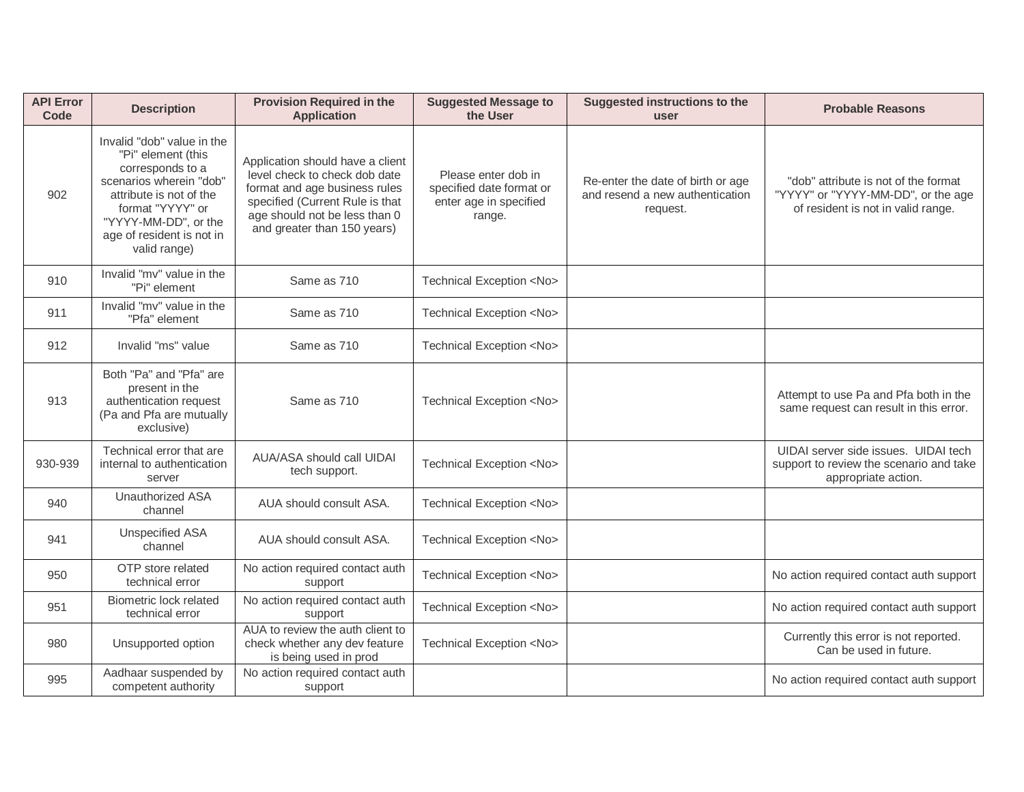| <b>API Error</b><br>Code | <b>Description</b>                                                                                                                                                                                                  | <b>Provision Required in the</b><br><b>Application</b>                                                                                                                                                | <b>Suggested Message to</b><br>the User                                             | <b>Suggested instructions to the</b><br>user                                     | <b>Probable Reasons</b>                                                                                          |
|--------------------------|---------------------------------------------------------------------------------------------------------------------------------------------------------------------------------------------------------------------|-------------------------------------------------------------------------------------------------------------------------------------------------------------------------------------------------------|-------------------------------------------------------------------------------------|----------------------------------------------------------------------------------|------------------------------------------------------------------------------------------------------------------|
| 902                      | Invalid "dob" value in the<br>"Pi" element (this<br>corresponds to a<br>scenarios wherein "dob"<br>attribute is not of the<br>format "YYYY" or<br>"YYYY-MM-DD", or the<br>age of resident is not in<br>valid range) | Application should have a client<br>level check to check dob date<br>format and age business rules<br>specified (Current Rule is that<br>age should not be less than 0<br>and greater than 150 years) | Please enter dob in<br>specified date format or<br>enter age in specified<br>range. | Re-enter the date of birth or age<br>and resend a new authentication<br>request. | "dob" attribute is not of the format<br>"YYYY" or "YYYY-MM-DD", or the age<br>of resident is not in valid range. |
| 910                      | Invalid "my" value in the<br>"Pi" element                                                                                                                                                                           | Same as 710                                                                                                                                                                                           | Technical Exception <no></no>                                                       |                                                                                  |                                                                                                                  |
| 911                      | Invalid "mv" value in the<br>"Pfa" element                                                                                                                                                                          | Same as 710                                                                                                                                                                                           | Technical Exception <no></no>                                                       |                                                                                  |                                                                                                                  |
| 912                      | Invalid "ms" value                                                                                                                                                                                                  | Same as 710                                                                                                                                                                                           | Technical Exception <no></no>                                                       |                                                                                  |                                                                                                                  |
| 913                      | Both "Pa" and "Pfa" are<br>present in the<br>authentication request<br>(Pa and Pfa are mutually<br>exclusive)                                                                                                       | Same as 710                                                                                                                                                                                           | Technical Exception <no></no>                                                       |                                                                                  | Attempt to use Pa and Pfa both in the<br>same request can result in this error.                                  |
| 930-939                  | Technical error that are<br>internal to authentication<br>server                                                                                                                                                    | AUA/ASA should call UIDAI<br>tech support.                                                                                                                                                            | Technical Exception <no></no>                                                       |                                                                                  | UIDAI server side issues. UIDAI tech<br>support to review the scenario and take<br>appropriate action.           |
| 940                      | <b>Unauthorized ASA</b><br>channel                                                                                                                                                                                  | AUA should consult ASA.                                                                                                                                                                               | Technical Exception <no></no>                                                       |                                                                                  |                                                                                                                  |
| 941                      | <b>Unspecified ASA</b><br>channel                                                                                                                                                                                   | AUA should consult ASA.                                                                                                                                                                               | Technical Exception <no></no>                                                       |                                                                                  |                                                                                                                  |
| 950                      | OTP store related<br>technical error                                                                                                                                                                                | No action required contact auth<br>support                                                                                                                                                            | Technical Exception <no></no>                                                       |                                                                                  | No action required contact auth support                                                                          |
| 951                      | Biometric lock related<br>technical error                                                                                                                                                                           | No action required contact auth<br>support                                                                                                                                                            | Technical Exception <no></no>                                                       |                                                                                  | No action required contact auth support                                                                          |
| 980                      | Unsupported option                                                                                                                                                                                                  | AUA to review the auth client to<br>check whether any dev feature<br>is being used in prod                                                                                                            | Technical Exception <no></no>                                                       |                                                                                  | Currently this error is not reported.<br>Can be used in future.                                                  |
| 995                      | Aadhaar suspended by<br>competent authority                                                                                                                                                                         | No action required contact auth<br>support                                                                                                                                                            |                                                                                     |                                                                                  | No action required contact auth support                                                                          |